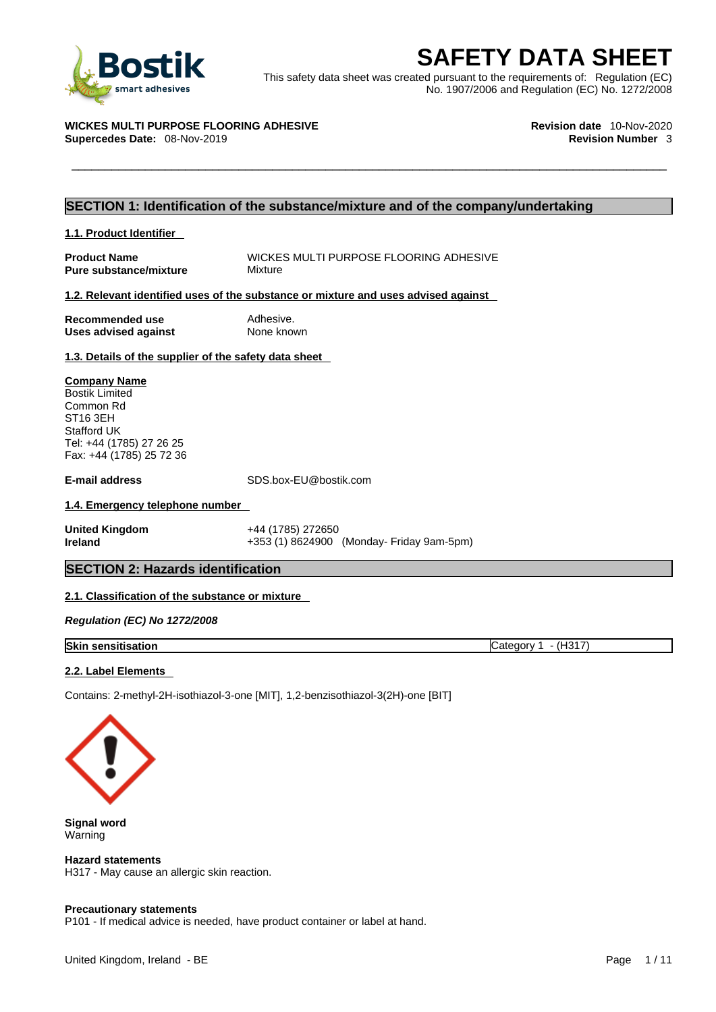

**ESAFETY DATA SHEET**<br>
This safety data sheet was created pursuant to the requirements of: Regulation (EC)<br>
No. 1907/2006 and Regulation (EC) No. 1272/2008<br>
VICKES MULTI PURPOSE FLOORING ADHESIVE<br>
Revision date 10-Nov-2020<br> This safety data sheet was created pursuant to the requirements of: Regulation (EC) No. 1907/2006 and Regulation (EC) No. 1272/2008

## **WICKES MULTI PURPOSE FLOORING ADHESIVE Revision date** 10-Nov-2020

**Supercedes Date: 08-Nov-2019** 

## **SECTION 1: Identification of the substance/mixture and of the company/undertaking**

| 1.1. Product Identifier                                   |                                                                                    |  |
|-----------------------------------------------------------|------------------------------------------------------------------------------------|--|
| <b>Product Name</b><br><b>Pure substance/mixture</b>      | WICKES MULTI PURPOSE FLOORING ADHESIVE<br>Mixture                                  |  |
|                                                           | 1.2. Relevant identified uses of the substance or mixture and uses advised against |  |
| Recommended use<br>Uses advised against                   | Adhesive.<br>None known                                                            |  |
| 1.3. Details of the supplier of the safety data sheet     |                                                                                    |  |
| <b>Company Name</b><br><b>Bostik Limited</b><br>Common Rd |                                                                                    |  |

ST16 3EH Stafford UK Tel: +44 (1785) 27 26 25 Fax: +44 (1785) 25 72 36

**E-mail address** SDS.box-EU@bostik.com

## **1.4. Emergency telephone number**

**United Kingdom** +44 (1785) 272650 **Ireland** +353 (1) 8624900 (Monday- Friday 9am-5pm)

## **SECTION 2: Hazards identification**

## **2.1. Classification of the substance or mixture**

*Regulation (EC) No 1272/2008* 

**Skin sensitisation** Category 1 - (H317)

## **2.2. Label Elements**

Contains: 2-methyl-2H-isothiazol-3-one [MIT], 1,2-benzisothiazol-3(2H)-one [BIT]



**Signal word** Warning

**Hazard statements** H317 - May cause an allergic skin reaction.

## **Precautionary statements**

P101 - If medical advice is needed, have product container or label at hand.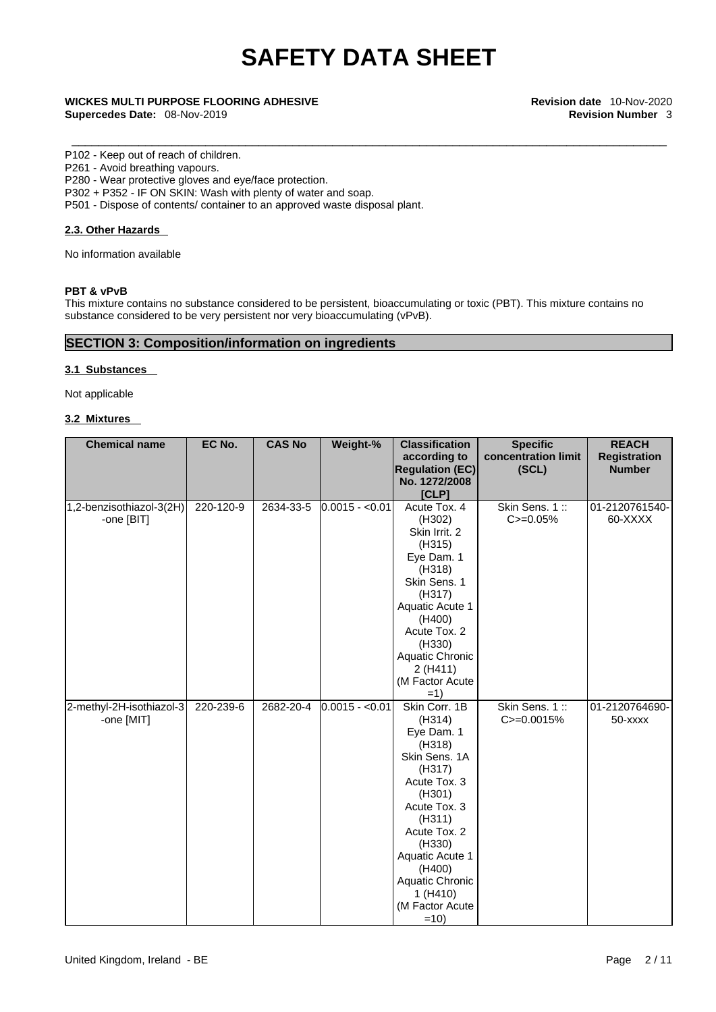\_\_\_\_\_\_\_\_\_\_\_\_\_\_\_\_\_\_\_\_\_\_\_\_\_\_\_\_\_\_\_\_\_\_\_\_\_\_\_\_\_\_\_\_\_\_\_\_\_\_\_\_\_\_\_\_\_\_\_\_\_\_\_\_\_\_\_\_\_\_\_\_\_\_\_\_\_\_\_\_\_\_\_\_\_\_\_\_\_ **WICKES MULTI PURPOSE FLOORING ADHESIVE Revision date** 10-Nov-2020 **Supercedes Date:** 08-Nov-2019 **Revision Number** 3

### P102 - Keep out of reach of children.

P261 - Avoid breathing vapours.

P280 - Wear protective gloves and eye/face protection.

P302 + P352 - IF ON SKIN: Wash with plenty of water and soap.

P501 - Dispose of contents/ container to an approved waste disposal plant.

## **2.3. Other Hazards**

No information available

## **PBT & vPvB**

This mixture contains no substance considered to be persistent, bioaccumulating or toxic (PBT). This mixture contains no substance considered to be very persistent nor very bioaccumulating (vPvB).

## **SECTION 3: Composition/information on ingredients**

## **3.1 Substances**

Not applicable

## **3.2 Mixtures**

| <b>Chemical name</b>     | EC No.    | <b>CAS No</b> | Weight-%        | <b>Classification</b>  | <b>Specific</b>     | <b>REACH</b>        |
|--------------------------|-----------|---------------|-----------------|------------------------|---------------------|---------------------|
|                          |           |               |                 | according to           | concentration limit | <b>Registration</b> |
|                          |           |               |                 | <b>Regulation (EC)</b> | (SCL)               | <b>Number</b>       |
|                          |           |               |                 | No. 1272/2008          |                     |                     |
|                          |           |               |                 | [CLP]                  |                     |                     |
| 1,2-benzisothiazol-3(2H) | 220-120-9 | 2634-33-5     | $0.0015 - 0.01$ | Acute Tox. 4           | Skin Sens. 1::      | 01-2120761540-      |
| -one [BIT]               |           |               |                 | (H302)                 | $C = 0.05%$         | 60-XXXX             |
|                          |           |               |                 | Skin Irrit. 2          |                     |                     |
|                          |           |               |                 | (H315)                 |                     |                     |
|                          |           |               |                 | Eye Dam. 1             |                     |                     |
|                          |           |               |                 | (H318)                 |                     |                     |
|                          |           |               |                 | Skin Sens. 1           |                     |                     |
|                          |           |               |                 | (H317)                 |                     |                     |
|                          |           |               |                 | Aquatic Acute 1        |                     |                     |
|                          |           |               |                 | (H400)                 |                     |                     |
|                          |           |               |                 | Acute Tox. 2           |                     |                     |
|                          |           |               |                 | (H330)                 |                     |                     |
|                          |           |               |                 | Aquatic Chronic        |                     |                     |
|                          |           |               |                 | 2(H411)                |                     |                     |
|                          |           |               |                 | (M Factor Acute        |                     |                     |
|                          |           |               |                 | $=1)$                  |                     |                     |
| 2-methyl-2H-isothiazol-3 | 220-239-6 | 2682-20-4     | $0.0015 - 0.01$ | Skin Corr. 1B          | Skin Sens. 1::      | 01-2120764690-      |
| -one [MIT]               |           |               |                 | (H314)                 | C>=0.0015%          | 50-xxxx             |
|                          |           |               |                 | Eye Dam. 1             |                     |                     |
|                          |           |               |                 | (H318)                 |                     |                     |
|                          |           |               |                 | Skin Sens. 1A          |                     |                     |
|                          |           |               |                 | (H317)                 |                     |                     |
|                          |           |               |                 | Acute Tox. 3           |                     |                     |
|                          |           |               |                 | (H301)                 |                     |                     |
|                          |           |               |                 | Acute Tox. 3           |                     |                     |
|                          |           |               |                 | (H311)                 |                     |                     |
|                          |           |               |                 | Acute Tox. 2           |                     |                     |
|                          |           |               |                 | (H330)                 |                     |                     |
|                          |           |               |                 | <b>Aquatic Acute 1</b> |                     |                     |
|                          |           |               |                 | (H400)                 |                     |                     |
|                          |           |               |                 | Aquatic Chronic        |                     |                     |
|                          |           |               |                 | 1 (H410)               |                     |                     |
|                          |           |               |                 | (M Factor Acute        |                     |                     |
|                          |           |               |                 | $=10$                  |                     |                     |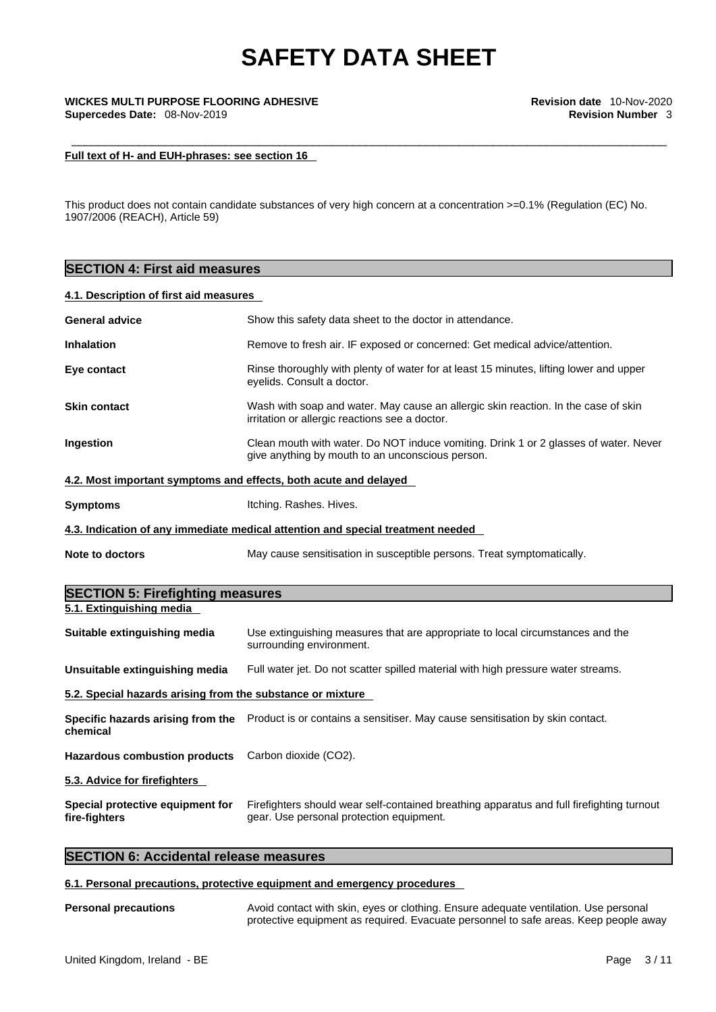## \_\_\_\_\_\_\_\_\_\_\_\_\_\_\_\_\_\_\_\_\_\_\_\_\_\_\_\_\_\_\_\_\_\_\_\_\_\_\_\_\_\_\_\_\_\_\_\_\_\_\_\_\_\_\_\_\_\_\_\_\_\_\_\_\_\_\_\_\_\_\_\_\_\_\_\_\_\_\_\_\_\_\_\_\_\_\_\_\_ **WICKES MULTI PURPOSE FLOORING ADHESIVE Revision date** 10-Nov-2020 **Supercedes Date:** 08-Nov-2019 **Revision Number** 3

## **Full text of H- and EUH-phrases: see section 16**

This product does not contain candidate substances of very high concern at a concentration >=0.1% (Regulation (EC) No. 1907/2006 (REACH), Article 59)

| <b>SECTION 4: First aid measures</b>                       |                                                                                                                                          |  |  |
|------------------------------------------------------------|------------------------------------------------------------------------------------------------------------------------------------------|--|--|
| 4.1. Description of first aid measures                     |                                                                                                                                          |  |  |
| <b>General advice</b>                                      | Show this safety data sheet to the doctor in attendance.                                                                                 |  |  |
| <b>Inhalation</b>                                          | Remove to fresh air. IF exposed or concerned: Get medical advice/attention.                                                              |  |  |
| Eye contact                                                | Rinse thoroughly with plenty of water for at least 15 minutes, lifting lower and upper<br>eyelids. Consult a doctor.                     |  |  |
| <b>Skin contact</b>                                        | Wash with soap and water. May cause an allergic skin reaction. In the case of skin<br>irritation or allergic reactions see a doctor.     |  |  |
| Ingestion                                                  | Clean mouth with water. Do NOT induce vomiting. Drink 1 or 2 glasses of water. Never<br>give anything by mouth to an unconscious person. |  |  |
|                                                            | 4.2. Most important symptoms and effects, both acute and delayed                                                                         |  |  |
| <b>Symptoms</b>                                            | Itching. Rashes. Hives.                                                                                                                  |  |  |
|                                                            | 4.3. Indication of any immediate medical attention and special treatment needed                                                          |  |  |
| <b>Note to doctors</b>                                     | May cause sensitisation in susceptible persons. Treat symptomatically.                                                                   |  |  |
| <b>SECTION 5: Firefighting measures</b>                    |                                                                                                                                          |  |  |
| 5.1. Extinguishing media                                   |                                                                                                                                          |  |  |
| Suitable extinguishing media                               | Use extinguishing measures that are appropriate to local circumstances and the<br>surrounding environment.                               |  |  |
| Unsuitable extinguishing media                             | Full water jet. Do not scatter spilled material with high pressure water streams.                                                        |  |  |
| 5.2. Special hazards arising from the substance or mixture |                                                                                                                                          |  |  |
| chemical                                                   | Specific hazards arising from the Product is or contains a sensitiser. May cause sensitisation by skin contact.                          |  |  |
| <b>Hazardous combustion products</b>                       | Carbon dioxide (CO2).                                                                                                                    |  |  |
| 5.3. Advice for firefighters                               |                                                                                                                                          |  |  |
| Special protective equipment for                           | Firefighters should wear self-contained breathing apparatus and full firefighting turnout                                                |  |  |

gear. Use personal protection equipment.

## **SECTION 6: Accidental release measures**

### **6.1. Personal precautions, protective equipment and emergency procedures**

**fire-fighters**

**Personal precautions** Avoid contact with skin, eyes or clothing. Ensure adequate ventilation. Use personal protective equipment as required. Evacuate personnel to safe areas. Keep people away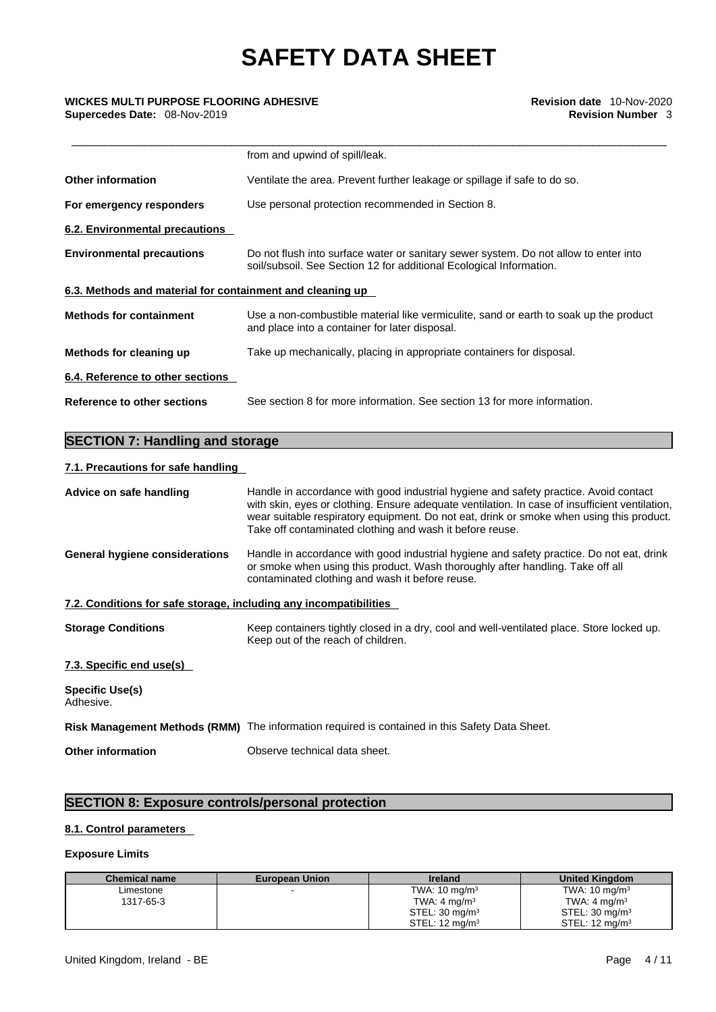|                                                           | from and upwind of spill/leak.                                                                                                                              |
|-----------------------------------------------------------|-------------------------------------------------------------------------------------------------------------------------------------------------------------|
| <b>Other information</b>                                  | Ventilate the area. Prevent further leakage or spillage if safe to do so.                                                                                   |
| For emergency responders                                  | Use personal protection recommended in Section 8.                                                                                                           |
| 6.2. Environmental precautions                            |                                                                                                                                                             |
| <b>Environmental precautions</b>                          | Do not flush into surface water or sanitary sewer system. Do not allow to enter into<br>soil/subsoil. See Section 12 for additional Ecological Information. |
| 6.3. Methods and material for containment and cleaning up |                                                                                                                                                             |
| <b>Methods for containment</b>                            | Use a non-combustible material like vermiculite, sand or earth to soak up the product<br>and place into a container for later disposal.                     |
| Methods for cleaning up                                   | Take up mechanically, placing in appropriate containers for disposal.                                                                                       |
| 6.4. Reference to other sections                          |                                                                                                                                                             |
| Reference to other sections                               | See section 8 for more information. See section 13 for more information.                                                                                    |
|                                                           |                                                                                                                                                             |

## **SECTION 7: Handling and storage**

## **7.1. Precautions for safe handling**

| Advice on safe handling                                           | Handle in accordance with good industrial hygiene and safety practice. Avoid contact<br>with skin, eyes or clothing. Ensure adequate ventilation. In case of insufficient ventilation,                                        |
|-------------------------------------------------------------------|-------------------------------------------------------------------------------------------------------------------------------------------------------------------------------------------------------------------------------|
|                                                                   | wear suitable respiratory equipment. Do not eat, drink or smoke when using this product.<br>Take off contaminated clothing and wash it before reuse.                                                                          |
| General hygiene considerations                                    | Handle in accordance with good industrial hygiene and safety practice. Do not eat, drink<br>or smoke when using this product. Wash thoroughly after handling. Take off all<br>contaminated clothing and wash it before reuse. |
| 7.2. Conditions for safe storage, including any incompatibilities |                                                                                                                                                                                                                               |
| <b>Storage Conditions</b>                                         | Keep containers tightly closed in a dry, cool and well-ventilated place. Store locked up.<br>Keep out of the reach of children.                                                                                               |
| 7.3. Specific end use(s)                                          |                                                                                                                                                                                                                               |
| <b>Specific Use(s)</b><br>Adhesive.                               |                                                                                                                                                                                                                               |
|                                                                   | Risk Management Methods (RMM) The information required is contained in this Safety Data Sheet.                                                                                                                                |
| <b>Other information</b>                                          | Observe technical data sheet.                                                                                                                                                                                                 |
|                                                                   |                                                                                                                                                                                                                               |

## **SECTION 8: Exposure controls/personal protection**

## **8.1. Control parameters**

## **Exposure Limits**

| <b>Chemical name</b> | <b>European Union</b> | <b>Ireland</b>            | <b>United Kingdom</b>     |
|----------------------|-----------------------|---------------------------|---------------------------|
| Limestone            |                       | TWA: $10 \text{ mg/m}^3$  | TWA: $10 \text{ mg/m}^3$  |
| 1317-65-3            |                       | TWA: $4 \text{ mg/m}^3$   | TWA: $4 \text{ mg/m}^3$   |
|                      |                       | STEL: $30 \text{ mg/m}^3$ | STEL: $30 \text{ mg/m}^3$ |
|                      |                       | STEL: $12 \text{ ma/m}^3$ | STEL: $12 \text{ ma/m}^3$ |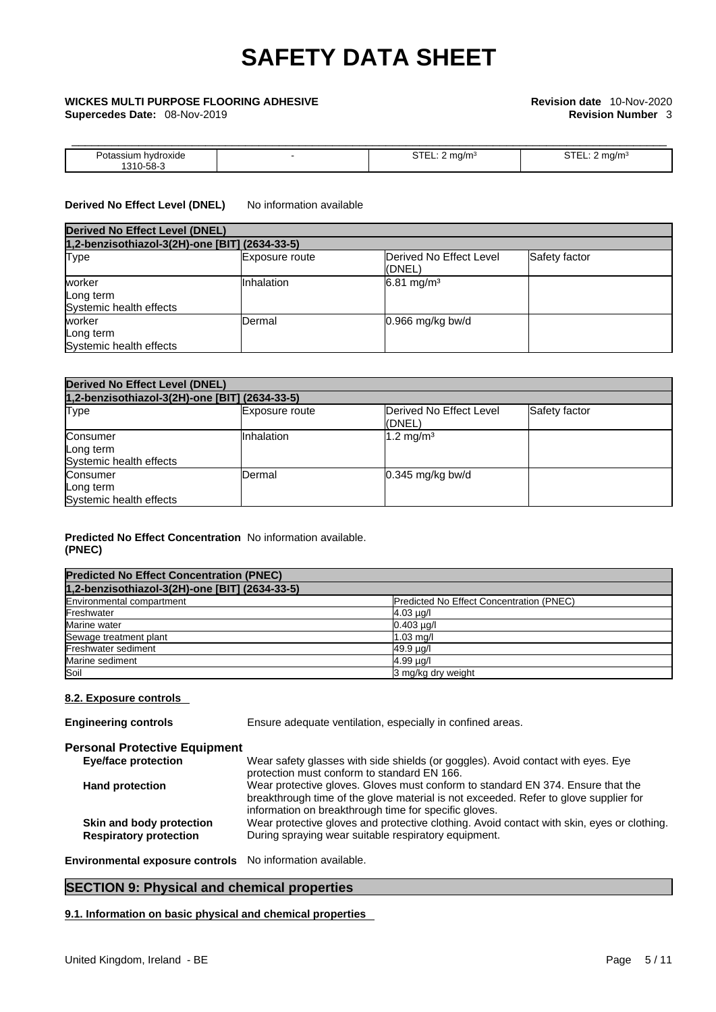**Supercedes Date:** 08-Nov-2019 **Revision Number** 3

# \_\_\_\_\_\_\_\_\_\_\_\_\_\_\_\_\_\_\_\_\_\_\_\_\_\_\_\_\_\_\_\_\_\_\_\_\_\_\_\_\_\_\_\_\_\_\_\_\_\_\_\_\_\_\_\_\_\_\_\_\_\_\_\_\_\_\_\_\_\_\_\_\_\_\_\_\_\_\_\_\_\_\_\_\_\_\_\_\_ **WICKES MULTI PURPOSE FLOORING ADHESIVE Revision date** 10-Nov-2020

| .                                                                                                               |  | . |
|-----------------------------------------------------------------------------------------------------------------|--|---|
| the contract of the contract of the contract of the contract of the contract of the contract of the contract of |  |   |

## **Derived No Effect Level (DNEL)** No information available

| <b>Derived No Effect Level (DNEL)</b><br>1,2-benzisothiazol-3(2H)-one [BIT] (2634-33-5) |            |                       |  |  |
|-----------------------------------------------------------------------------------------|------------|-----------------------|--|--|
|                                                                                         |            |                       |  |  |
| worker<br>Long term<br>Systemic health effects                                          | Inhalation | $6.81 \text{ mg/m}^3$ |  |  |
| worker<br>Long term<br>Systemic health effects                                          | Dermal     | $0.966$ mg/kg bw/d    |  |  |

| <b>Derived No Effect Level (DNEL)</b>            |                |                                   |               |  |
|--------------------------------------------------|----------------|-----------------------------------|---------------|--|
| 1,2-benzisothiazol-3(2H)-one [BIT] (2634-33-5)   |                |                                   |               |  |
| <b>Type</b>                                      | Exposure route | Derived No Effect Level<br>(DNEL) | Safety factor |  |
| Consumer<br>Long term<br>Systemic health effects | Inhalation     | $1.2 \text{ mg/m}^3$              |               |  |
| Consumer<br>Long term<br>Systemic health effects | Dermal         | $0.345$ mg/kg bw/d                |               |  |

## **Predicted No Effect Concentration** No information available. **(PNEC)**

| <b>Predicted No Effect Concentration (PNEC)</b> |                                          |
|-------------------------------------------------|------------------------------------------|
| 1,2-benzisothiazol-3(2H)-one [BIT] (2634-33-5)  |                                          |
| Environmental compartment                       | Predicted No Effect Concentration (PNEC) |
| Freshwater                                      | $4.03 \mu g/l$                           |
| Marine water                                    | $0.403 \mu q/l$                          |
| Sewage treatment plant                          | $1.03$ mg/                               |
| Freshwater sediment                             | 49.9 µg/l                                |
| Marine sediment                                 | 4.99 µg/l                                |
| Soil                                            | 3 mg/kg dry weight                       |

## **8.2. Exposure controls**

| <b>Engineering controls</b>                               | Ensure adequate ventilation, especially in confined areas.                                                                                                                                                                       |
|-----------------------------------------------------------|----------------------------------------------------------------------------------------------------------------------------------------------------------------------------------------------------------------------------------|
| <b>Personal Protective Equipment</b>                      |                                                                                                                                                                                                                                  |
| <b>Eye/face protection</b>                                | Wear safety glasses with side shields (or goggles). Avoid contact with eyes. Eye<br>protection must conform to standard EN 166.                                                                                                  |
| <b>Hand protection</b>                                    | Wear protective gloves. Gloves must conform to standard EN 374. Ensure that the<br>breakthrough time of the glove material is not exceeded. Refer to glove supplier for<br>information on breakthrough time for specific gloves. |
| Skin and body protection<br><b>Respiratory protection</b> | Wear protective gloves and protective clothing. Avoid contact with skin, eyes or clothing.<br>During spraying wear suitable respiratory equipment.                                                                               |
|                                                           |                                                                                                                                                                                                                                  |

**Environmental exposure controls** No information available.

## **SECTION 9: Physical and chemical properties**

**9.1. Information on basic physical and chemical properties**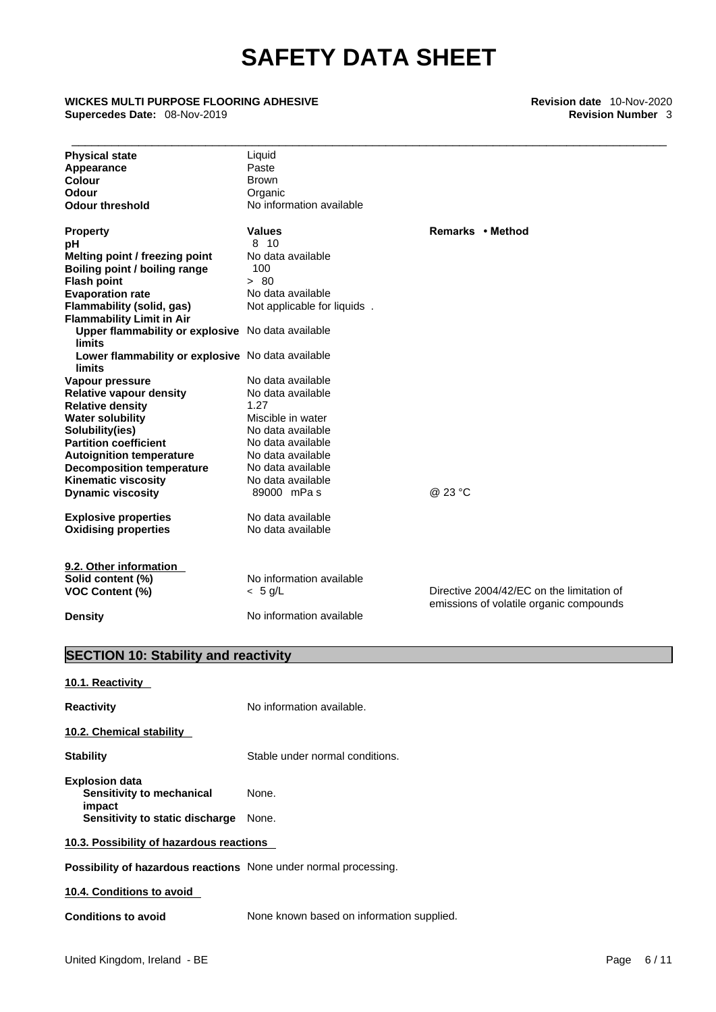## \_\_\_\_\_\_\_\_\_\_\_\_\_\_\_\_\_\_\_\_\_\_\_\_\_\_\_\_\_\_\_\_\_\_\_\_\_\_\_\_\_\_\_\_\_\_\_\_\_\_\_\_\_\_\_\_\_\_\_\_\_\_\_\_\_\_\_\_\_\_\_\_\_\_\_\_\_\_\_\_\_\_\_\_\_\_\_\_\_ **WICKES MULTI PURPOSE FLOORING ADHESIVE Revision date** 10-Nov-2020 **Supercedes Date:** 08-Nov-2019 **Revision Number** 3

| <b>Physical state</b>                                       | Liquid                      |                                           |
|-------------------------------------------------------------|-----------------------------|-------------------------------------------|
| Appearance                                                  | Paste                       |                                           |
| <b>Colour</b>                                               | <b>Brown</b>                |                                           |
| <b>Odour</b>                                                | Organic                     |                                           |
| <b>Odour threshold</b>                                      | No information available    |                                           |
| <b>Property</b>                                             | <b>Values</b>               | Remarks • Method                          |
| рH                                                          | 8 10                        |                                           |
| Melting point / freezing point                              | No data available           |                                           |
| Boiling point / boiling range                               | 100                         |                                           |
| <b>Flash point</b>                                          | > 80                        |                                           |
| <b>Evaporation rate</b>                                     | No data available           |                                           |
| <b>Flammability (solid, gas)</b>                            | Not applicable for liquids. |                                           |
| <b>Flammability Limit in Air</b>                            |                             |                                           |
| Upper flammability or explosive No data available           |                             |                                           |
| <b>limits</b>                                               |                             |                                           |
| Lower flammability or explosive No data available<br>limits |                             |                                           |
| Vapour pressure                                             | No data available           |                                           |
| <b>Relative vapour density</b>                              | No data available           |                                           |
| <b>Relative density</b>                                     | 1.27                        |                                           |
| <b>Water solubility</b>                                     | Miscible in water           |                                           |
| Solubility(ies)                                             | No data available           |                                           |
| <b>Partition coefficient</b>                                | No data available           |                                           |
| <b>Autoignition temperature</b>                             | No data available           |                                           |
| <b>Decomposition temperature</b>                            | No data available           |                                           |
| <b>Kinematic viscosity</b>                                  | No data available           |                                           |
| <b>Dynamic viscosity</b>                                    | 89000 mPas                  | @ 23 °C                                   |
| <b>Explosive properties</b>                                 | No data available           |                                           |
| <b>Oxidising properties</b>                                 | No data available           |                                           |
|                                                             |                             |                                           |
| 9.2. Other information                                      |                             |                                           |
| Solid content (%)                                           | No information available    |                                           |
| <b>VOC Content (%)</b>                                      | $< 5$ g/L                   | Directive 2004/42/EC on the limitation of |
| <b>Density</b>                                              | No information available    | emissions of volatile organic compounds   |

## **SECTION 10: Stability and reactivity**

**10.1. Reactivity** 

| Reactivity                                                                                      | No information available.       |  |  |
|-------------------------------------------------------------------------------------------------|---------------------------------|--|--|
| 10.2. Chemical stability                                                                        |                                 |  |  |
| <b>Stability</b>                                                                                | Stable under normal conditions. |  |  |
| <b>Explosion data</b><br>Sensitivity to mechanical<br>impact<br>Sensitivity to static discharge | None.<br>None.                  |  |  |
| 10.3. Possibility of hazardous reactions                                                        |                                 |  |  |
| <b>Possibility of hazardous reactions</b> None under normal processing.                         |                                 |  |  |
| 10.4. Conditions to avoid                                                                       |                                 |  |  |
|                                                                                                 |                                 |  |  |

**Conditions to avoid** None known based on information supplied.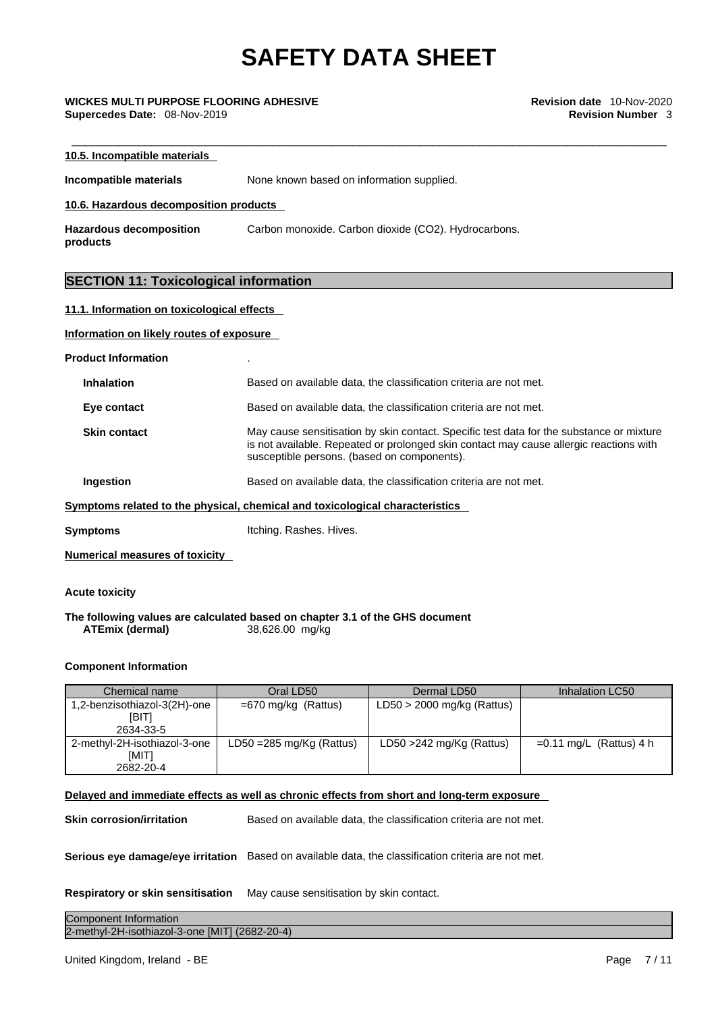\_\_\_\_\_\_\_\_\_\_\_\_\_\_\_\_\_\_\_\_\_\_\_\_\_\_\_\_\_\_\_\_\_\_\_\_\_\_\_\_\_\_\_\_\_\_\_\_\_\_\_\_\_\_\_\_\_\_\_\_\_\_\_\_\_\_\_\_\_\_\_\_\_\_\_\_\_\_\_\_\_\_\_\_\_\_\_\_\_ **WICKES MULTI PURPOSE FLOORING ADHESIVE Revision date** 10-Nov-2020 **Supercedes Date:** 08-Nov-2019 **Revision Number** 3

| 10.5. Incompatible materials                 |                                                      |  |  |  |  |
|----------------------------------------------|------------------------------------------------------|--|--|--|--|
| Incompatible materials                       | None known based on information supplied.            |  |  |  |  |
| 10.6. Hazardous decomposition products       |                                                      |  |  |  |  |
| <b>Hazardous decomposition</b><br>products   | Carbon monoxide. Carbon dioxide (CO2). Hydrocarbons. |  |  |  |  |
| <b>SECTION 11: Toxicological information</b> |                                                      |  |  |  |  |
| 11.1. Information on toxicological effects   |                                                      |  |  |  |  |
| Information on likely routes of exposure     |                                                      |  |  |  |  |
| <b>Product Information</b>                   |                                                      |  |  |  |  |

|                                                                              | <b>Inhalation</b>   | Based on available data, the classification criteria are not met.                                                                                                                                                                 |  |  |
|------------------------------------------------------------------------------|---------------------|-----------------------------------------------------------------------------------------------------------------------------------------------------------------------------------------------------------------------------------|--|--|
|                                                                              | Eye contact         | Based on available data, the classification criteria are not met.                                                                                                                                                                 |  |  |
|                                                                              | <b>Skin contact</b> | May cause sensitisation by skin contact. Specific test data for the substance or mixture<br>is not available. Repeated or prolonged skin contact may cause allergic reactions with<br>susceptible persons. (based on components). |  |  |
|                                                                              | Ingestion           | Based on available data, the classification criteria are not met.                                                                                                                                                                 |  |  |
| Symptoms related to the physical, chemical and toxicological characteristics |                     |                                                                                                                                                                                                                                   |  |  |
|                                                                              | Symptoms            | Itching. Rashes. Hives.                                                                                                                                                                                                           |  |  |
|                                                                              |                     |                                                                                                                                                                                                                                   |  |  |

**Numerical measures of toxicity**

## **Acute toxicity**

**The following values are calculated based on chapter 3.1 of the GHS document ATEmix** (dermal)

## **Component Information**

| Chemical name                                | Oral LD50                           | Dermal LD50                  | Inhalation LC50           |
|----------------------------------------------|-------------------------------------|------------------------------|---------------------------|
| 1,2-benzisothiazol-3(2H)-one<br><b>IBITI</b> | $=670$ mg/kg (Rattus)               | $LD50 > 2000$ mg/kg (Rattus) |                           |
| 2634-33-5                                    |                                     |                              |                           |
| 2-methyl-2H-isothiazol-3-one<br>[MIT]        | LD50 = $285 \text{ mg/Kg}$ (Rattus) | LD50 $>$ 242 mg/Kg (Rattus)  | $=0.11$ mg/L (Rattus) 4 h |
| 2682-20-4                                    |                                     |                              |                           |

## **Delayed and immediate effects as well as chronic effects from short and long-term exposure**

**Skin corrosion/irritation** Based on available data, the classification criteria are not met.

**Serious eye damage/eye irritation** Based on available data, the classification criteria are not met.

**Respiratory or skin sensitisation** May cause sensitisation by skin contact.

**Component Information Component Information** 2-methyl-2H-isothiazol-3-one [MIT] (2682-20-4)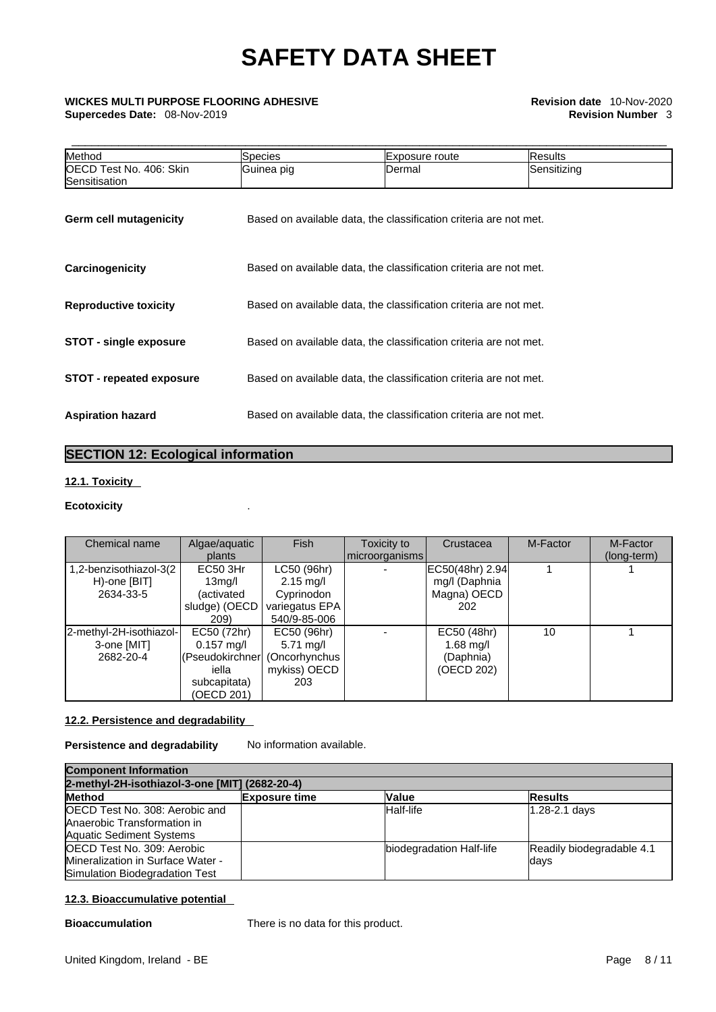## \_\_\_\_\_\_\_\_\_\_\_\_\_\_\_\_\_\_\_\_\_\_\_\_\_\_\_\_\_\_\_\_\_\_\_\_\_\_\_\_\_\_\_\_\_\_\_\_\_\_\_\_\_\_\_\_\_\_\_\_\_\_\_\_\_\_\_\_\_\_\_\_\_\_\_\_\_\_\_\_\_\_\_\_\_\_\_\_\_ **WICKES MULTI PURPOSE FLOORING ADHESIVE Revision date** 10-Nov-2020 **Supercedes Date:** 08-Nov-2019 **Revision Number** 3

| Method                                   | <b>Species</b>                                                    | Exposure route                                                    | Results     |  |  |
|------------------------------------------|-------------------------------------------------------------------|-------------------------------------------------------------------|-------------|--|--|
| OECD Test No. 406: Skin<br>Sensitisation | Guinea pig                                                        | Dermal                                                            | Sensitizing |  |  |
| <b>Germ cell mutagenicity</b>            |                                                                   | Based on available data, the classification criteria are not met. |             |  |  |
| Carcinogenicity                          |                                                                   | Based on available data, the classification criteria are not met. |             |  |  |
| <b>Reproductive toxicity</b>             |                                                                   | Based on available data, the classification criteria are not met. |             |  |  |
| <b>STOT - single exposure</b>            | Based on available data, the classification criteria are not met. |                                                                   |             |  |  |
| <b>STOT - repeated exposure</b>          | Based on available data, the classification criteria are not met. |                                                                   |             |  |  |
| <b>Aspiration hazard</b>                 | Based on available data, the classification criteria are not met. |                                                                   |             |  |  |

## **SECTION 12: Ecological information**

## **12.1. Toxicity**

## **Ecotoxicity** .

| Chemical name           | Algae/aquatic                   | <b>Fish</b>         | Toxicity to    | Crustacea       | M-Factor | M-Factor    |
|-------------------------|---------------------------------|---------------------|----------------|-----------------|----------|-------------|
|                         | plants                          |                     | microorganisms |                 |          | (long-term) |
| 1,2-benzisothiazol-3(2  | EC50 3Hr                        | LC50 (96hr)         |                | EC50(48hr) 2.94 |          |             |
| H)-one [BIT]            | 13 <sub>mq</sub> /I             | $2.15$ mg/l         |                | mg/l (Daphnia   |          |             |
| 2634-33-5               | (activated                      | Cyprinodon          |                | Magna) OECD     |          |             |
|                         | sludge) (OECD                   | variegatus EPA      |                | 202             |          |             |
|                         | 209)                            | 540/9-85-006        |                |                 |          |             |
| 2-methyl-2H-isothiazol- | EC50 (72hr)                     | EC50 (96hr)         |                | EC50 (48hr)     | 10       |             |
| 3-one [MIT]             | $0.157 \text{ mg/l}$            | $5.71 \text{ mq/l}$ |                | 1.68 mg/l       |          |             |
| 2682-20-4               | (Pseudokirchner   (Oncorhynchus |                     |                | (Daphnia)       |          |             |
|                         | iella                           | mykiss) OECD        |                | (OECD 202)      |          |             |
|                         | subcapitata)                    | 203                 |                |                 |          |             |
|                         | (OECD 201)                      |                     |                |                 |          |             |

## **12.2. Persistence and degradability**

## **Persistence and degradability** No information available.

| <b>Component Information</b><br>2-methyl-2H-isothiazol-3-one [MIT] (2682-20-4)                          |  |                          |                                    |  |
|---------------------------------------------------------------------------------------------------------|--|--------------------------|------------------------------------|--|
|                                                                                                         |  |                          |                                    |  |
| <b>OECD Test No. 308: Aerobic and</b><br>Anaerobic Transformation in<br><b>Aquatic Sediment Systems</b> |  | Half-life                | $1.28 - 2.1$ days                  |  |
| OECD Test No. 309: Aerobic<br>Mineralization in Surface Water -<br>Simulation Biodegradation Test       |  | biodegradation Half-life | Readily biodegradable 4.1<br>ldays |  |

## **12.3. Bioaccumulative potential**

**Bioaccumulation** There is no data for this product.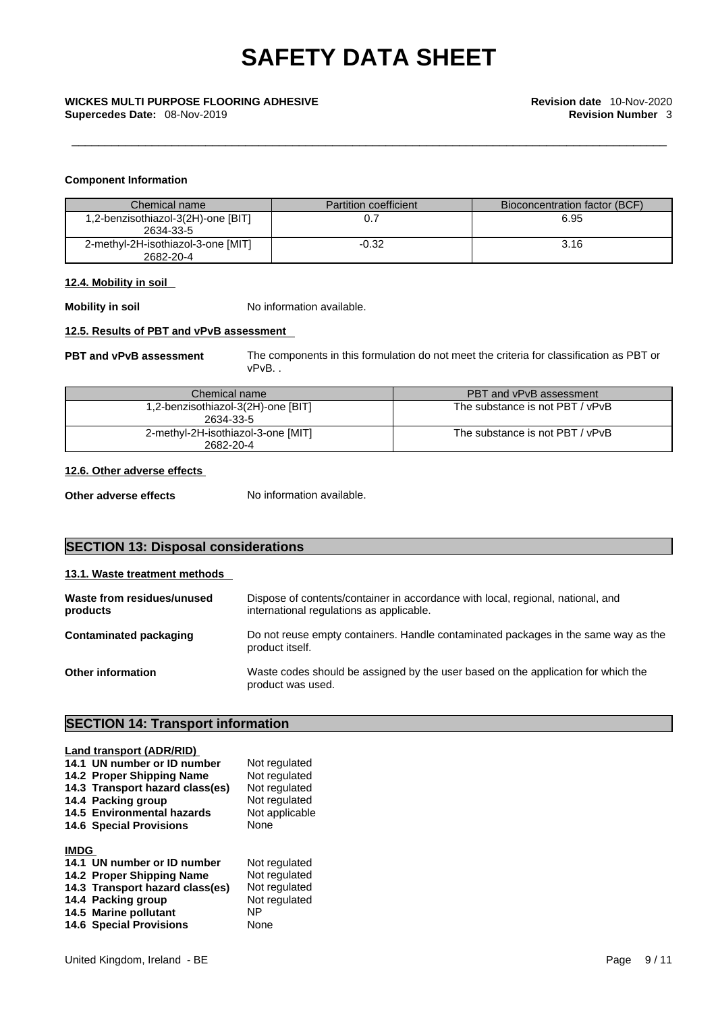## **Component Information**

| Chemical name                                   | <b>Partition coefficient</b> | Bioconcentration factor (BCF) |
|-------------------------------------------------|------------------------------|-------------------------------|
| 1,2-benzisothiazol-3(2H)-one [BIT]<br>2634-33-5 |                              | 6.95                          |
| 2-methyl-2H-isothiazol-3-one [MIT]<br>2682-20-4 | $-0.32$                      | 3.16                          |

## **12.4. Mobility in soil**

**Mobility in soil** No information available.

## **12.5. Results of PBT and vPvB assessment**

**PBT and vPvB assessment** The components in this formulation do not meet the criteria for classification as PBT or vPvB. .

| Chemical name                                   | PBT and vPvB assessment         |
|-------------------------------------------------|---------------------------------|
| 1,2-benzisothiazol-3(2H)-one [BIT]<br>2634-33-5 | The substance is not PBT / vPvB |
| 2-methyl-2H-isothiazol-3-one [MIT]<br>2682-20-4 | The substance is not PBT / vPvB |

## **12.6. Other adverse effects**

**Other adverse effects** No information available.

## **SECTION 13: Disposal considerations**

## **13.1. Waste treatment methods**

| Waste from residues/unused<br>products | Dispose of contents/container in accordance with local, regional, national, and<br>international regulations as applicable. |
|----------------------------------------|-----------------------------------------------------------------------------------------------------------------------------|
| Contaminated packaging                 | Do not reuse empty containers. Handle contaminated packages in the same way as the<br>product itself.                       |
| <b>Other information</b>               | Waste codes should be assigned by the user based on the application for which the<br>product was used.                      |

## **SECTION 14: Transport information**

|             | Land transport (ADR/RID)        |                |  |  |
|-------------|---------------------------------|----------------|--|--|
|             | 14.1 UN number or ID number     | Not regulated  |  |  |
|             | 14.2 Proper Shipping Name       | Not regulated  |  |  |
|             | 14.3 Transport hazard class(es) | Not regulated  |  |  |
|             | 14.4 Packing group              | Not regulated  |  |  |
|             | 14.5 Environmental hazards      | Not applicable |  |  |
|             | <b>14.6 Special Provisions</b>  | <b>None</b>    |  |  |
| <b>IMDG</b> |                                 |                |  |  |
|             |                                 |                |  |  |
|             | 14.1 UN number or ID number     | Not regulated  |  |  |
|             | 14.2 Proper Shipping Name       | Not regulated  |  |  |
|             | 14.3 Transport hazard class(es) | Not regulated  |  |  |
|             | 14.4 Packing group              | Not regulated  |  |  |
|             | 14.5 Marine pollutant           | NP             |  |  |
|             | <b>14.6 Special Provisions</b>  | None           |  |  |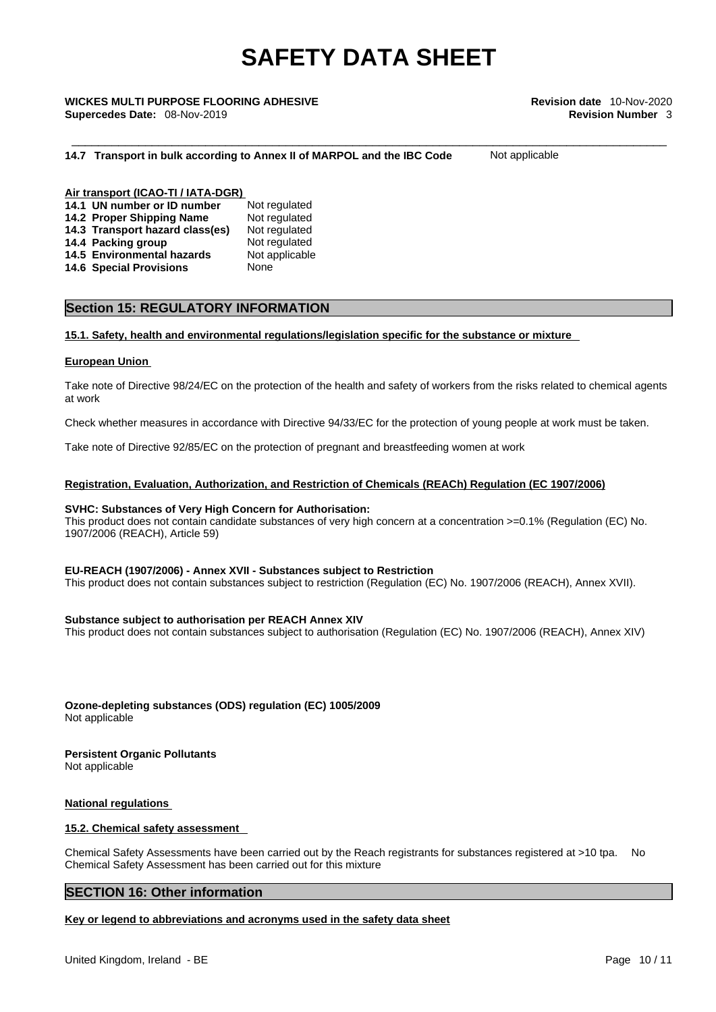## \_\_\_\_\_\_\_\_\_\_\_\_\_\_\_\_\_\_\_\_\_\_\_\_\_\_\_\_\_\_\_\_\_\_\_\_\_\_\_\_\_\_\_\_\_\_\_\_\_\_\_\_\_\_\_\_\_\_\_\_\_\_\_\_\_\_\_\_\_\_\_\_\_\_\_\_\_\_\_\_\_\_\_\_\_\_\_\_\_ **WICKES MULTI PURPOSE FLOORING ADHESIVE Revision date** 10-Nov-2020 **Supercedes Date:** 08-Nov-2019 **Revision Number** 3

### **14.7 Transport in bulk according to Annex II of MARPOL and the IBC Code** Not applicable

### **Air transport (ICAO-TI / IATA-DGR) 14.1 UN number or ID number** Not regulated **14.2 Proper Shipping Name** Not regulated

| 14.2 FIODER SHIPPING NAME       | <b>INULTEGUIALEU</b> |
|---------------------------------|----------------------|
| 14.3 Transport hazard class(es) | Not regulated        |
| 14.4 Packing group              | Not regulated        |
| 14.5 Environmental hazards      | Not applicable       |
| <b>14.6 Special Provisions</b>  | None                 |

## **Section 15: REGULATORY INFORMATION**

## **15.1. Safety, health and environmental regulations/legislation specific for the substance or mixture**

## **European Union**

Take note of Directive 98/24/EC on the protection of the health and safety of workers from the risks related to chemical agents at work

Check whether measures in accordance with Directive 94/33/EC for the protection of young people at work must be taken.

Take note of Directive 92/85/EC on the protection of pregnant and breastfeeding women at work

## **Registration, Evaluation, Authorization, and Restriction of Chemicals (REACh) Regulation (EC 1907/2006)**

## **SVHC: Substances of Very High Concern for Authorisation:**

This product does not contain candidate substances of very high concern at a concentration  $>=0.1\%$  (Regulation (EC) No. 1907/2006 (REACH), Article 59)

## **EU-REACH (1907/2006) - Annex XVII - Substances subject to Restriction**

This product does not contain substances subject to restriction (Regulation (EC) No. 1907/2006 (REACH), Annex XVII).

## **Substance subject to authorisation per REACH Annex XIV**

This product does not contain substances subject to authorisation (Regulation (EC) No. 1907/2006 (REACH), Annex XIV)

**Ozone-depleting substances (ODS) regulation (EC) 1005/2009** Not applicable

### **Persistent Organic Pollutants** Not applicable

## **National regulations**

## **15.2. Chemical safety assessment**

Chemical Safety Assessments have been carried out by the Reach registrants for substances registered at >10 tpa. No Chemical Safety Assessment has been carried out for this mixture

## **SECTION 16: Other information**

## **Key or legend to abbreviations and acronyms used in the safety data sheet**